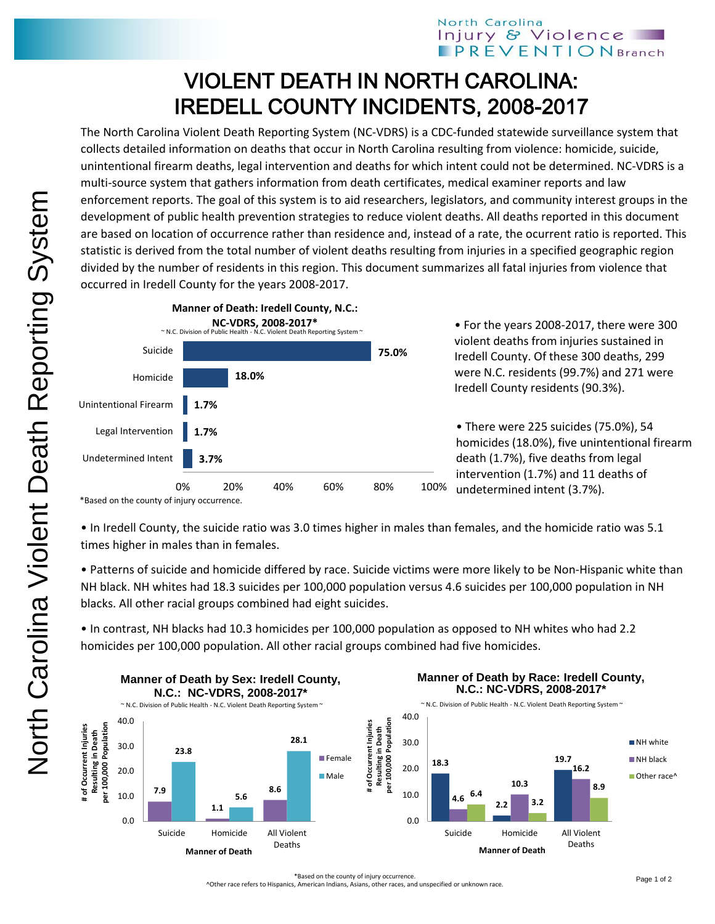## North Carolina Injury & Violence **PREVENTIONBranch**

## VIOLENT DEATH IN NORTH CAROLINA: IREDELL COUNTY INCIDENTS, 2008-2017

The North Carolina Violent Death Reporting System (NC-VDRS) is a CDC-funded statewide surveillance system that collects detailed information on deaths that occur in North Carolina resulting from violence: homicide, suicide, unintentional firearm deaths, legal intervention and deaths for which intent could not be determined. NC-VDRS is a multi-source system that gathers information from death certificates, medical examiner reports and law enforcement reports. The goal of this system is to aid researchers, legislators, and community interest groups in the development of public health prevention strategies to reduce violent deaths. All deaths reported in this document are based on location of occurrence rather than residence and, instead of a rate, the ocurrent ratio is reported. This statistic is derived from the total number of violent deaths resulting from injuries in a specified geographic region divided by the number of residents in this region. This document summarizes all fatal injuries from violence that occurred in Iredell County for the years 2008-2017.



• For the years 2008-2017, there were 300 violent deaths from injuries sustained in Iredell County. Of these 300 deaths, 299 were N.C. residents (99.7%) and 271 were Iredell County residents (90.3%).

• There were 225 suicides (75.0%), 54 homicides (18.0%), five unintentional firearm death (1.7%), five deaths from legal intervention (1.7%) and 11 deaths of undetermined intent (3.7%).

• In Iredell County, the suicide ratio was 3.0 times higher in males than females, and the homicide ratio was 5.1 times higher in males than in females.

• Patterns of suicide and homicide differed by race. Suicide victims were more likely to be Non-Hispanic white than NH black. NH whites had 18.3 suicides per 100,000 population versus 4.6 suicides per 100,000 population in NH blacks. All other racial groups combined had eight suicides.

• In contrast, NH blacks had 10.3 homicides per 100,000 population as opposed to NH whites who had 2.2 homicides per 100,000 population. All other racial groups combined had five homicides.



\*Based on the county of injury occurrence.

^Other race refers to Hispanics, American Indians, Asians, other races, and unspecified or unknown race.

<sup>\*</sup>Based on the county of injury occurrence.